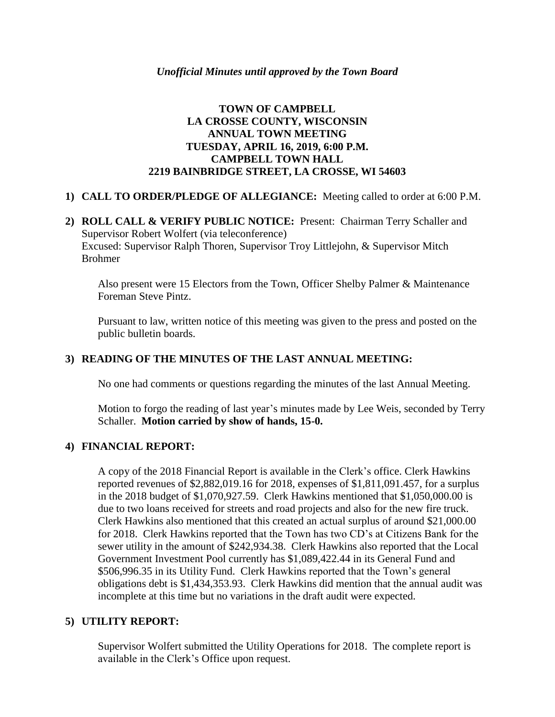# **TOWN OF CAMPBELL LA CROSSE COUNTY, WISCONSIN ANNUAL TOWN MEETING TUESDAY, APRIL 16, 2019, 6:00 P.M. CAMPBELL TOWN HALL 2219 BAINBRIDGE STREET, LA CROSSE, WI 54603**

# **1) CALL TO ORDER/PLEDGE OF ALLEGIANCE:** Meeting called to order at 6:00 P.M.

**2) ROLL CALL & VERIFY PUBLIC NOTICE:** Present: Chairman Terry Schaller and Supervisor Robert Wolfert (via teleconference) Excused: Supervisor Ralph Thoren, Supervisor Troy Littlejohn, & Supervisor Mitch Brohmer

Also present were 15 Electors from the Town, Officer Shelby Palmer & Maintenance Foreman Steve Pintz.

Pursuant to law, written notice of this meeting was given to the press and posted on the public bulletin boards.

# **3) READING OF THE MINUTES OF THE LAST ANNUAL MEETING:**

No one had comments or questions regarding the minutes of the last Annual Meeting.

Motion to forgo the reading of last year's minutes made by Lee Weis, seconded by Terry Schaller. **Motion carried by show of hands, 15-0.**

#### **4) FINANCIAL REPORT:**

A copy of the 2018 Financial Report is available in the Clerk's office. Clerk Hawkins reported revenues of \$2,882,019.16 for 2018, expenses of \$1,811,091.457, for a surplus in the 2018 budget of \$1,070,927.59. Clerk Hawkins mentioned that \$1,050,000.00 is due to two loans received for streets and road projects and also for the new fire truck. Clerk Hawkins also mentioned that this created an actual surplus of around \$21,000.00 for 2018. Clerk Hawkins reported that the Town has two CD's at Citizens Bank for the sewer utility in the amount of \$242,934.38. Clerk Hawkins also reported that the Local Government Investment Pool currently has \$1,089,422.44 in its General Fund and \$506,996.35 in its Utility Fund. Clerk Hawkins reported that the Town's general obligations debt is \$1,434,353.93. Clerk Hawkins did mention that the annual audit was incomplete at this time but no variations in the draft audit were expected.

#### **5) UTILITY REPORT:**

Supervisor Wolfert submitted the Utility Operations for 2018. The complete report is available in the Clerk's Office upon request.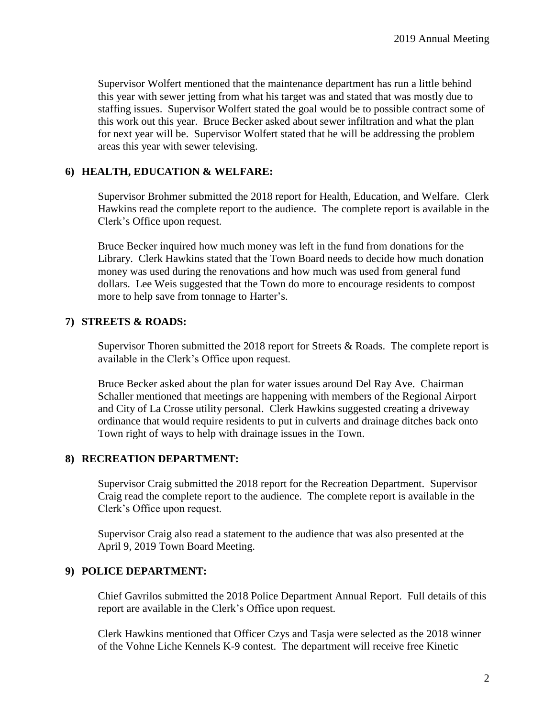Supervisor Wolfert mentioned that the maintenance department has run a little behind this year with sewer jetting from what his target was and stated that was mostly due to staffing issues. Supervisor Wolfert stated the goal would be to possible contract some of this work out this year. Bruce Becker asked about sewer infiltration and what the plan for next year will be. Supervisor Wolfert stated that he will be addressing the problem areas this year with sewer televising.

# **6) HEALTH, EDUCATION & WELFARE:**

Supervisor Brohmer submitted the 2018 report for Health, Education, and Welfare. Clerk Hawkins read the complete report to the audience. The complete report is available in the Clerk's Office upon request.

Bruce Becker inquired how much money was left in the fund from donations for the Library. Clerk Hawkins stated that the Town Board needs to decide how much donation money was used during the renovations and how much was used from general fund dollars. Lee Weis suggested that the Town do more to encourage residents to compost more to help save from tonnage to Harter's.

### **7) STREETS & ROADS:**

Supervisor Thoren submitted the 2018 report for Streets & Roads. The complete report is available in the Clerk's Office upon request.

Bruce Becker asked about the plan for water issues around Del Ray Ave. Chairman Schaller mentioned that meetings are happening with members of the Regional Airport and City of La Crosse utility personal. Clerk Hawkins suggested creating a driveway ordinance that would require residents to put in culverts and drainage ditches back onto Town right of ways to help with drainage issues in the Town.

### **8) RECREATION DEPARTMENT:**

Supervisor Craig submitted the 2018 report for the Recreation Department. Supervisor Craig read the complete report to the audience. The complete report is available in the Clerk's Office upon request.

Supervisor Craig also read a statement to the audience that was also presented at the April 9, 2019 Town Board Meeting.

#### **9) POLICE DEPARTMENT:**

Chief Gavrilos submitted the 2018 Police Department Annual Report. Full details of this report are available in the Clerk's Office upon request.

Clerk Hawkins mentioned that Officer Czys and Tasja were selected as the 2018 winner of the Vohne Liche Kennels K-9 contest. The department will receive free Kinetic